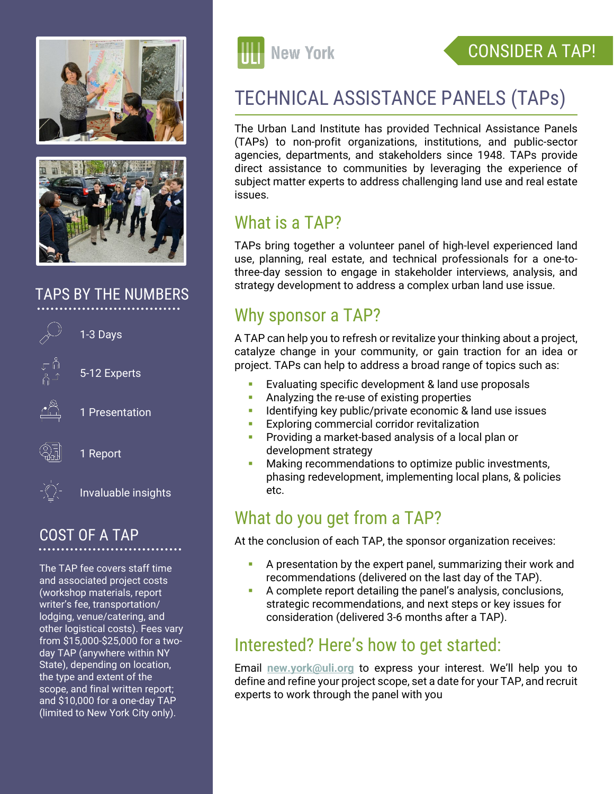



#### TAPS BY THE NUMBERS



1 Report

Invaluable insights

#### COST OF A TAP

The TAP fee covers staff time and associated project costs (workshop materials, report writer's fee, transportation/ lodging, venue/catering, and other logistical costs). Fees vary from \$15,000-\$25,000 for a twoday TAP (anywhere within NY State), depending on location, the type and extent of the scope, and final written report; and \$10,000 for a one-day TAP (limited to New York City only).



### CONSIDER A TAP!

# TECHNICAL ASSISTANCE PANELS (TAPs)

The Urban Land Institute has provided Technical Assistance Panels (TAPs) to non-profit organizations, institutions, and public-sector agencies, departments, and stakeholders since 1948. TAPs provide direct assistance to communities by leveraging the experience of subject matter experts to address challenging land use and real estate issues.

#### What is a TAP?

TAPs bring together a volunteer panel of high-level experienced land use, planning, real estate, and technical professionals for a one-tothree-day session to engage in stakeholder interviews, analysis, and strategy development to address a complex urban land use issue.

#### Why sponsor a TAP?

A TAP can help you to refresh or revitalize your thinking about a project, catalyze change in your community, or gain traction for an idea or project. TAPs can help to address a broad range of topics such as:

- Evaluating specific development & land use proposals
- **Analyzing the re-use of existing properties**
- Identifying key public/private economic & land use issues
- Exploring commercial corridor revitalization
- Providing a market-based analysis of a local plan or development strategy
- Making recommendations to optimize public investments, phasing redevelopment, implementing local plans, & policies etc.

#### What do you get from a TAP?

At the conclusion of each TAP, the sponsor organization receives:

- A presentation by the expert panel, summarizing their work and recommendations (delivered on the last day of the TAP).
- A complete report detailing the panel's analysis, conclusions, strategic recommendations, and next steps or key issues for consideration (delivered 3-6 months after a TAP).

#### Interested? Here's how to get started:

Email **new.york@uli.org** to express your interest. We'll help you to define and refine your project scope, set a date for your TAP, and recruit experts to work through the panel with you